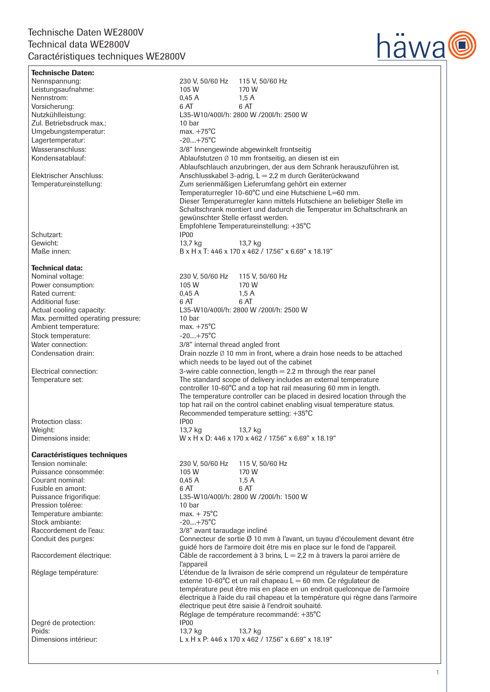

## Technische Daten: Nennspannung: 230 V, 50/60 Hz 115 V, 50/60 Hz Leistungsaufnahme: 105 W 170 W<br>Nennstrom: 15 A 15 A Nennstrom: Vorsicherung: 6 AT 6 AT L35-W10/400l/h: 2800 W /200l/h: 2500 W 10 har Zul. Betriebsdruck max.: 10 bar Umgebungstemperatur: Lagertemperatur:  $\frac{-20...+75^{\circ}\text{C}}{3/8}$  menomentum and the set of the set of the set of the set of the set of the set of the set of the set of the set of the set of the set of the set of the set of the set of the set of Wasseranschluss:  $3/8^4$  Innengewinde abgewinkelt frontseitig<br>Kondensatablauf: Ablaufstutzen Ø 10 mm frontseitig, an diese Ablaufstutzen  $\emptyset$  10 mm frontseitig, an diesen ist ein Ablaufschlauch anzubringen, der aus dem Schrank herauszuführen ist. Elektrischer Anschluss: Anschlusskabel 3-adrig, L = 2,2 m durch Geräterückwand<br>Temperatureinstellung: Zum serienmäßigen Lieferumfang gehört ein externer Zum serienmäßigen Lieferumfang gehört ein externer Temperaturregler 10-60°C und eine Hutschiene L=60 mm. Dieser Temperaturregler kann mittels Hutschiene an beliebiger Stelle im Schaltschrank montiert und dadurch die Temperatur im Schaltschrank an gewünschter Stelle erfasst werden. Empfohlene Temperatureinstellung: +35°C Schutzart: IP00<br>Gewicht: IP00<br>13.7 kg Gewicht: 13,7 kg 13,7 kg Maße innen: B x H x T: 446 x 170 x 462 / 17.56" x 6.69" x 18.19" Technical data: Nominal voltage:  $230 \text{ V}, 50/60 \text{ Hz}$  115 V, 50/60 Hz<br>Power consumption:  $105 \text{ W}$  170 W Power consumption: 105 W 170 W<br>Rated current: 1.5 A 170 W Rated current: Additional fuse: 6 AT 6 AT Actual cooling capacity: L35-W10/400l/h: 2800 W /200l/h: 2500 W Max. permitted operating pressure: 10 bar<br>Ambient temperature: max. +75°C Ambient temperature: max. +75°C<br>Stock temperature:  $-20...+75^{\circ}C$ Stock temperature: Water connection:  $\frac{3}{8}$  internal thread angled front Condensation drain: Drain nozzle Ø 10 mm in front, where a drain hose needs to be attached which needs to be layed out of the cabinet Electrical connection: 3-wire cable connection, length = 2.2 m through the rear panel Temperature set: The standard scope of delivery includes an external temperature controller 10-60°C and a top hat rail measuring 60 mm in length. The temperature controller can be placed in desired location through the top hat rail on the control cabinet enabling visual temperature status. Recommended temperature setting: +35°C Protection class: IP00 Weight: 13,7 kg 13,7 kg 13,7 kg 13,7 kg 13,7 kg 13,7 kg 13,7 kg 13,7 kg 13,7 kg 13,7 kg 13,7 kg 13,7 kg 13,7 kg 1  $W \times H \times D$ : 446 x 170 x 462 / 17.56" x 6.69" x 18.19" Caractéristiques techniques Tension nominale: 230 V, 50/60 Hz 115 V, 50/60 Hz Puissance consommée: 105 W 170 W<br>Courant nominal: 1,5 A 1,5 A Courant nominal: Fusible en amont: 6 AT 6 AT Puissance frigorifique: L35-W10/400l/h: 2800 W /200l/h: 1500 W Pression toléree: 10 bar 10 bar 10 bar 10 bar 10 bar 10 bar 10 bar 15°C Temperature ambiante:<br>Stock ambiante: max. + 75°C<br>-20....+75°C Stock ambiante:<br>Raccordement de l'eau: 3/8" avant taraudage incliné Conduit des purges: Connecteur de sortie Ø 10 mm à l'avant, un tuyau d'écoulement devant être guidé hors de l'armoire doit être mis en place sur le fond de l'appareil. Raccordement électrique: Câble de raccordement à 3 brins, L = 2,2 m à travers la paroi arrière de l'appareil<br>L'étendue de l'appareil d'appareil de l'appareil de l'étendue du la contraste de l'appareil de la contraste d L'étendue de la livraison de série comprend un régulateur de température externe 10-60 $^{\circ}$ C et un rail chapeau  $L = 60$  mm. Ce régulateur de température peut être mis en place en un endroit quelconque de l'armoire électrique à l'aide du rail chapeau et la température qui règne dans l'armoire électrique peut être saisie à l'endroit souhaité. Réglage de température recommandé: +35°C Degré de protection: IP00 Poids: 13,7 kg 13,7 kg 13,7 kg Dimensions intérieur: L x H x P: 446 x 170 x 462 / 17.56" x 6.69" x 18.19"